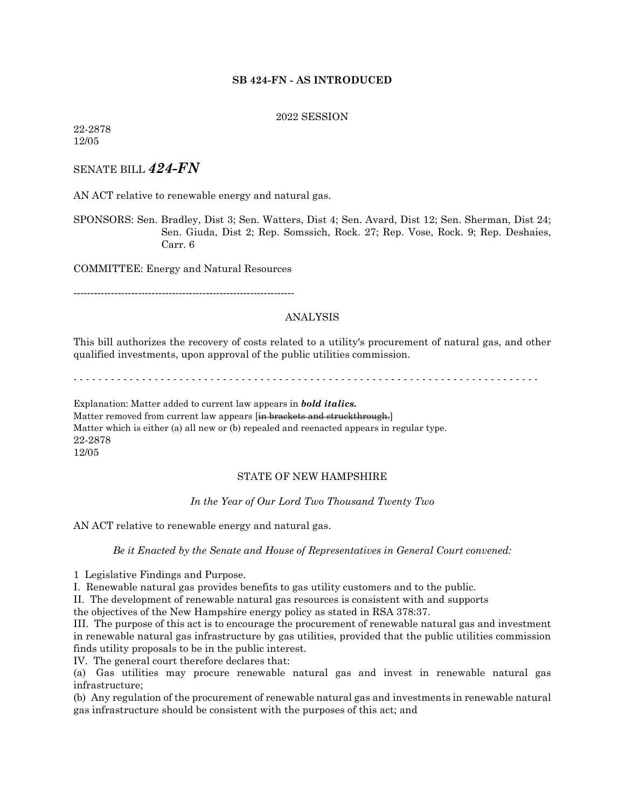# **SB 424-FN - AS INTRODUCED**

### 2022 SESSION

22-2878 12/05

# SENATE BILL *424-FN*

AN ACT relative to renewable energy and natural gas.

SPONSORS: Sen. Bradley, Dist 3; Sen. Watters, Dist 4; Sen. Avard, Dist 12; Sen. Sherman, Dist 24; Sen. Giuda, Dist 2; Rep. Somssich, Rock. 27; Rep. Vose, Rock. 9; Rep. Deshaies, Carr. 6

COMMITTEE: Energy and Natural Resources

-----------------------------------------------------------------

## ANALYSIS

This bill authorizes the recovery of costs related to a utility's procurement of natural gas, and other qualified investments, upon approval of the public utilities commission.

- - - - - - - - - - - - - - - - - - - - - - - - - - - - - - - - - - - - - - - - - - - - - - - - - - - - - - - - - - - - - - - - - - - - - - - - - - -

Explanation: Matter added to current law appears in *bold italics.* Matter removed from current law appears [in brackets and struckthrough.] Matter which is either (a) all new or (b) repealed and reenacted appears in regular type. 22-2878 12/05

## STATE OF NEW HAMPSHIRE

*In the Year of Our Lord Two Thousand Twenty Two*

AN ACT relative to renewable energy and natural gas.

*Be it Enacted by the Senate and House of Representatives in General Court convened:*

1 Legislative Findings and Purpose.

I. Renewable natural gas provides benefits to gas utility customers and to the public.

II. The development of renewable natural gas resources is consistent with and supports

the objectives of the New Hampshire energy policy as stated in RSA 378:37.

III. The purpose of this act is to encourage the procurement of renewable natural gas and investment in renewable natural gas infrastructure by gas utilities, provided that the public utilities commission finds utility proposals to be in the public interest.

IV. The general court therefore declares that:

(a) Gas utilities may procure renewable natural gas and invest in renewable natural gas infrastructure;

(b) Any regulation of the procurement of renewable natural gas and investments in renewable natural gas infrastructure should be consistent with the purposes of this act; and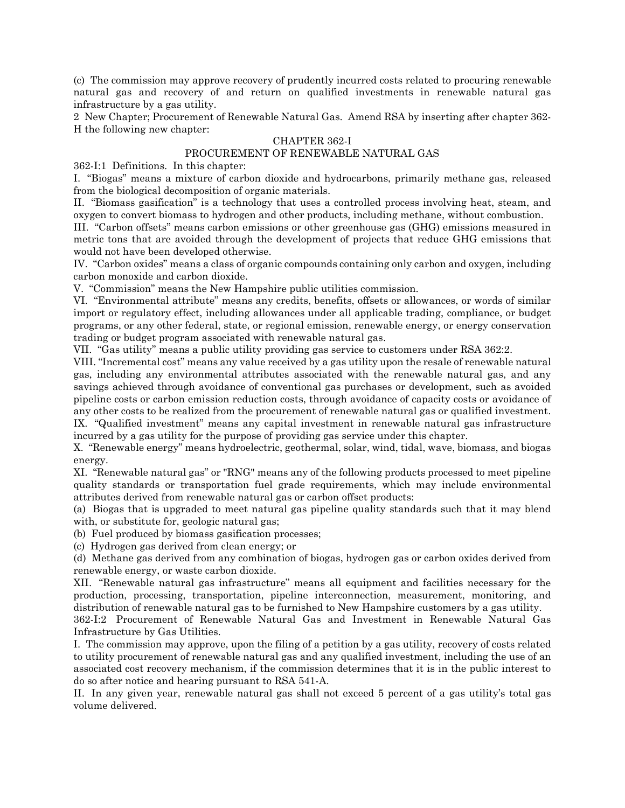(c) The commission may approve recovery of prudently incurred costs related to procuring renewable natural gas and recovery of and return on qualified investments in renewable natural gas infrastructure by a gas utility.

2 New Chapter; Procurement of Renewable Natural Gas. Amend RSA by inserting after chapter 362- H the following new chapter:

## CHAPTER 362-I

# PROCUREMENT OF RENEWABLE NATURAL GAS

362-I:1 Definitions. In this chapter:

I. "Biogas" means a mixture of carbon dioxide and hydrocarbons, primarily methane gas, released from the biological decomposition of organic materials.

II. "Biomass gasification" is a technology that uses a controlled process involving heat, steam, and oxygen to convert biomass to hydrogen and other products, including methane, without combustion.

III. "Carbon offsets" means carbon emissions or other greenhouse gas (GHG) emissions measured in metric tons that are avoided through the development of projects that reduce GHG emissions that would not have been developed otherwise.

IV. "Carbon oxides" means a class of organic compounds containing only carbon and oxygen, including carbon monoxide and carbon dioxide.

V. "Commission" means the New Hampshire public utilities commission.

VI. "Environmental attribute" means any credits, benefits, offsets or allowances, or words of similar import or regulatory effect, including allowances under all applicable trading, compliance, or budget programs, or any other federal, state, or regional emission, renewable energy, or energy conservation trading or budget program associated with renewable natural gas.

VII. "Gas utility" means a public utility providing gas service to customers under RSA 362:2.

VIII. "Incremental cost" means any value received by a gas utility upon the resale of renewable natural gas, including any environmental attributes associated with the renewable natural gas, and any savings achieved through avoidance of conventional gas purchases or development, such as avoided pipeline costs or carbon emission reduction costs, through avoidance of capacity costs or avoidance of any other costs to be realized from the procurement of renewable natural gas or qualified investment. IX. "Qualified investment" means any capital investment in renewable natural gas infrastructure incurred by a gas utility for the purpose of providing gas service under this chapter.

X. "Renewable energy" means hydroelectric, geothermal, solar, wind, tidal, wave, biomass, and biogas energy.

XI. "Renewable natural gas" or "RNG" means any of the following products processed to meet pipeline quality standards or transportation fuel grade requirements, which may include environmental attributes derived from renewable natural gas or carbon offset products:

(a) Biogas that is upgraded to meet natural gas pipeline quality standards such that it may blend with, or substitute for, geologic natural gas;

(b) Fuel produced by biomass gasification processes;

(c) Hydrogen gas derived from clean energy; or

(d) Methane gas derived from any combination of biogas, hydrogen gas or carbon oxides derived from renewable energy, or waste carbon dioxide.

XII. "Renewable natural gas infrastructure" means all equipment and facilities necessary for the production, processing, transportation, pipeline interconnection, measurement, monitoring, and distribution of renewable natural gas to be furnished to New Hampshire customers by a gas utility.

362-I:2 Procurement of Renewable Natural Gas and Investment in Renewable Natural Gas Infrastructure by Gas Utilities.

I. The commission may approve, upon the filing of a petition by a gas utility, recovery of costs related to utility procurement of renewable natural gas and any qualified investment, including the use of an associated cost recovery mechanism, if the commission determines that it is in the public interest to do so after notice and hearing pursuant to RSA 541-A.

II. In any given year, renewable natural gas shall not exceed 5 percent of a gas utility's total gas volume delivered.